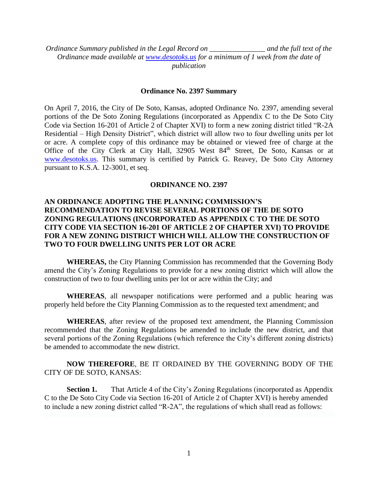*Ordinance Summary published in the Legal Record on \_\_\_\_\_\_\_\_\_\_\_\_\_\_\_ and the full text of the Ordinance made available at [www.desotoks.us](http://www.desotoks.us/) for a minimum of 1 week from the date of publication*

#### **Ordinance No. 2397 Summary**

On April 7, 2016, the City of De Soto, Kansas, adopted Ordinance No. 2397, amending several portions of the De Soto Zoning Regulations (incorporated as Appendix C to the De Soto City Code via Section 16-201 of Article 2 of Chapter XVI) to form a new zoning district titled "R-2A Residential – High Density District", which district will allow two to four dwelling units per lot or acre. A complete copy of this ordinance may be obtained or viewed free of charge at the Office of the City Clerk at City Hall, 32905 West 84<sup>th</sup> Street, De Soto, Kansas or at [www.desotoks.us.](http://www.desotoks.us/) This summary is certified by Patrick G. Reavey, De Soto City Attorney pursuant to K.S.A. 12-3001, et seq.

#### **ORDINANCE NO. 2397**

## **AN ORDINANCE ADOPTING THE PLANNING COMMISSION'S RECOMMENDATION TO REVISE SEVERAL PORTIONS OF THE DE SOTO ZONING REGULATIONS (INCORPORATED AS APPENDIX C TO THE DE SOTO CITY CODE VIA SECTION 16-201 OF ARTICLE 2 OF CHAPTER XVI) TO PROVIDE FOR A NEW ZONING DISTRICT WHICH WILL ALLOW THE CONSTRUCTION OF TWO TO FOUR DWELLING UNITS PER LOT OR ACRE**

**WHEREAS,** the City Planning Commission has recommended that the Governing Body amend the City's Zoning Regulations to provide for a new zoning district which will allow the construction of two to four dwelling units per lot or acre within the City; and

**WHEREAS**, all newspaper notifications were performed and a public hearing was properly held before the City Planning Commission as to the requested text amendment; and

**WHEREAS**, after review of the proposed text amendment, the Planning Commission recommended that the Zoning Regulations be amended to include the new district, and that several portions of the Zoning Regulations (which reference the City's different zoning districts) be amended to accommodate the new district.

### **NOW THEREFORE**, BE IT ORDAINED BY THE GOVERNING BODY OF THE CITY OF DE SOTO, KANSAS:

**Section 1.** That Article 4 of the City's Zoning Regulations (incorporated as Appendix C to the De Soto City Code via Section 16-201 of Article 2 of Chapter XVI) is hereby amended to include a new zoning district called "R-2A", the regulations of which shall read as follows: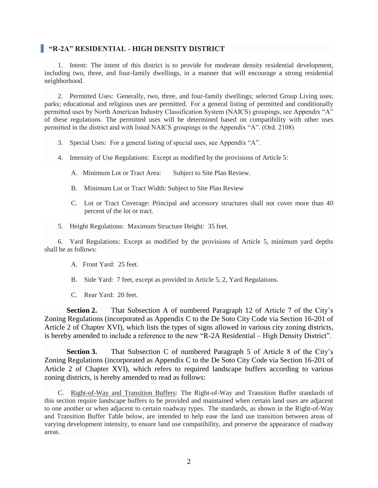### **"R-2A" RESIDENTIAL - HIGH DENSITY DISTRICT**

1. Intent: The intent of this district is to provide for moderate density residential development, including two, three, and four-family dwellings, in a manner that will encourage a strong residential neighborhood.

2. Permitted Uses: Generally, two, three, and four-family dwellings; selected Group Living uses; parks; educational and religious uses are permitted. For a general listing of permitted and conditionally permitted uses by North American Industry Classification System (NAICS) groupings, see Appendix "A" of these regulations. The permitted uses will be determined based on compatibility with other uses permitted in the district and with listed NAICS groupings in the Appendix "A". (Ord. 2108)

- 3. Special Uses: For a general listing of special uses, see Appendix "A".
- 4. Intensity of Use Regulations: Except as modified by the provisions of Article 5:
	- A. Minimum Lot or Tract Area: Subject to Site Plan Review.
	- B. Minimum Lot or Tract Width: Subject to Site Plan Review
	- C. Lot or Tract Coverage: Principal and accessory structures shall not cover more than 40 percent of the lot or tract.
- 5. Height Regulations: Maximum Structure Height: 35 feet.

6. Yard Regulations: Except as modified by the provisions of Article 5, minimum yard depths shall be as follows:

- A. Front Yard: 25 feet.
- B. Side Yard: 7 feet, except as provided in Article 5, 2, Yard Regulations.
- C. Rear Yard: 20 feet.

**Section 2.** That Subsection A of numbered Paragraph 12 of Article 7 of the City's Zoning Regulations (incorporated as Appendix C to the De Soto City Code via Section 16-201 of Article 2 of Chapter XVI), which lists the types of signs allowed in various city zoning districts, is hereby amended to include a reference to the new "R-2A Residential – High Density District".

**Section 3.** That Subsection C of numbered Paragraph 5 of Article 8 of the City's Zoning Regulations (incorporated as Appendix C to the De Soto City Code via Section 16-201 of Article 2 of Chapter XVI), which refers to required landscape buffers according to various zoning districts, is hereby amended to read as follows:

C. Right-of-Way and Transition Buffers: The Right-of-Way and Transition Buffer standards of this section require landscape buffers to be provided and maintained when certain land uses are adjacent to one another or when adjacent to certain roadway types. The standards, as shown in the Right-of-Way and Transition Buffer Table below, are intended to help ease the land use transition between areas of varying development intensity, to ensure land use compatibility, and preserve the appearance of roadway areas.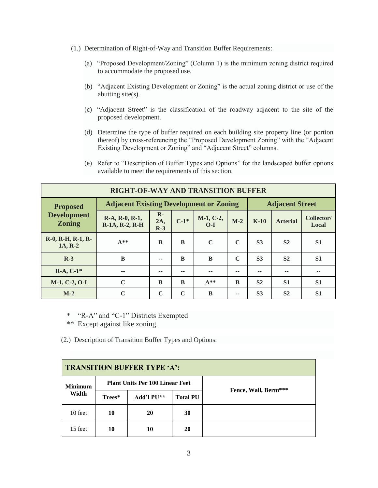- (1.) Determination of Right-of-Way and Transition Buffer Requirements:
	- (a) "Proposed Development/Zoning" (Column 1) is the minimum zoning district required to accommodate the proposed use.
	- (b) "Adjacent Existing Development or Zoning" is the actual zoning district or use of the abutting site(s).
	- (c) "Adjacent Street" is the classification of the roadway adjacent to the site of the proposed development.
	- (d) Determine the type of buffer required on each building site property line (or portion thereof) by cross-referencing the "Proposed Development Zoning" with the "Adjacent Existing Development or Zoning" and "Adjacent Street" columns.
	- (e) Refer to "Description of Buffer Types and Options" for the landscaped buffer options available to meet the requirements of this section.

|                                                                                                                     | <b>RIGHT-OF-WAY AND TRANSITION BUFFER</b> |                                                                          |             |                      |             |                |                     |                |  |  |  |  |  |  |
|---------------------------------------------------------------------------------------------------------------------|-------------------------------------------|--------------------------------------------------------------------------|-------------|----------------------|-------------|----------------|---------------------|----------------|--|--|--|--|--|--|
| <b>Proposed</b>                                                                                                     |                                           | <b>Adjacent Existing Development or Zoning</b><br><b>Adjacent Street</b> |             |                      |             |                |                     |                |  |  |  |  |  |  |
| <b>Development</b><br>$\mathbf{R}$ -<br>R-A, R-0, R-1,<br>$C-1*$<br>2A,<br><b>Zoning</b><br>R-1A, R-2, R-H<br>$R-3$ |                                           |                                                                          |             | $M-1, C-2,$<br>$O-I$ | $M-2$       | $K-10$         | Collector/<br>Local |                |  |  |  |  |  |  |
| R-0, R-H, R-1, R-<br>1A, R-2                                                                                        | $A**$                                     | B                                                                        | B           | $\mathbf C$          | $\mathbf C$ | S <sub>3</sub> | S <sub>2</sub>      |                |  |  |  |  |  |  |
| $R-3$                                                                                                               | B                                         | --                                                                       | B           | B                    | $\mathbf C$ | S <sub>3</sub> | S <sub>2</sub>      | S <sub>1</sub> |  |  |  |  |  |  |
| $R-A, C-1*$                                                                                                         | $-$                                       | --                                                                       | --          | --                   | --          | --             | --                  | --             |  |  |  |  |  |  |
| M-1, C-2, O-I                                                                                                       | C                                         | B                                                                        | B           | $A**$                | B           | S <sub>2</sub> | S <sub>1</sub>      | S <sub>1</sub> |  |  |  |  |  |  |
| $M-2$                                                                                                               | C                                         | $\mathbf C$                                                              | $\mathbf C$ | B                    | --          | S <sub>3</sub> | S <sub>2</sub>      | S <sub>1</sub> |  |  |  |  |  |  |

\* "R-A" and "C-1" Districts Exempted

\*\* Except against like zoning.

(2.) Description of Transition Buffer Types and Options:

| <b>TRANSITION BUFFER TYPE 'A':</b> |        |                                        |                 |                      |  |  |  |  |  |  |  |  |
|------------------------------------|--------|----------------------------------------|-----------------|----------------------|--|--|--|--|--|--|--|--|
| <b>Minimum</b>                     |        | <b>Plant Units Per 100 Linear Feet</b> |                 |                      |  |  |  |  |  |  |  |  |
| Width                              | Trees* | Add'l PU**                             | <b>Total PU</b> | Fence, Wall, Berm*** |  |  |  |  |  |  |  |  |
| 10 feet                            | 10     | 20                                     | 30              |                      |  |  |  |  |  |  |  |  |
| 15 feet                            | 10     | 10                                     | 20              |                      |  |  |  |  |  |  |  |  |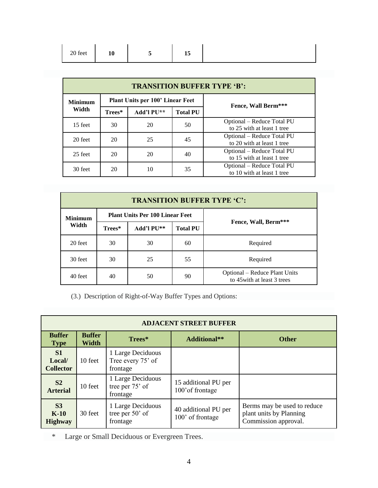|--|

|                | <b>TRANSITION BUFFER TYPE 'B':</b> |                                  |                 |                                                          |  |  |  |  |  |  |  |  |  |  |  |
|----------------|------------------------------------|----------------------------------|-----------------|----------------------------------------------------------|--|--|--|--|--|--|--|--|--|--|--|
| <b>Minimum</b> |                                    | Plant Units per 100' Linear Feet |                 | <b>Fence, Wall Berm***</b>                               |  |  |  |  |  |  |  |  |  |  |  |
| Width          | Trees*                             | Add'l PU**                       | <b>Total PU</b> |                                                          |  |  |  |  |  |  |  |  |  |  |  |
| 15 feet        | 30                                 | 20                               | 50              | Optional – Reduce Total PU<br>to 25 with at least 1 tree |  |  |  |  |  |  |  |  |  |  |  |
| 20 feet        | 20                                 | 25                               | 45              | Optional - Reduce Total PU<br>to 20 with at least 1 tree |  |  |  |  |  |  |  |  |  |  |  |
| 25 feet        | 20                                 | 20                               | 40              | Optional – Reduce Total PU<br>to 15 with at least 1 tree |  |  |  |  |  |  |  |  |  |  |  |
| 30 feet        | 20                                 | 10                               | 35              | Optional – Reduce Total PU<br>to 10 with at least 1 tree |  |  |  |  |  |  |  |  |  |  |  |

|                |        |                                        |                 | <b>TRANSITION BUFFER TYPE 'C':</b>                           |
|----------------|--------|----------------------------------------|-----------------|--------------------------------------------------------------|
| <b>Minimum</b> |        | <b>Plant Units Per 100 Linear Feet</b> |                 |                                                              |
| Width          | Trees* | Add'l PU**                             | <b>Total PU</b> | Fence, Wall, Berm***                                         |
| 20 feet        | 30     | 30                                     | 60              | Required                                                     |
| 30 feet        | 30     | 55<br>25                               |                 | Required                                                     |
| 40 feet        | 40     | 50                                     | 90              | Optional – Reduce Plant Units<br>to 45 with at least 3 trees |

(3.) Description of Right-of-Way Buffer Types and Options:

|                                            | <b>ADJACENT STREET BUFFER</b> |                                                    |                                          |                                                                                |  |  |  |  |  |  |  |  |  |  |  |
|--------------------------------------------|-------------------------------|----------------------------------------------------|------------------------------------------|--------------------------------------------------------------------------------|--|--|--|--|--|--|--|--|--|--|--|
| <b>Buffer</b><br><b>Type</b>               | <b>Buffer</b><br><b>Width</b> | Trees*                                             | <b>Additional**</b>                      | <b>Other</b>                                                                   |  |  |  |  |  |  |  |  |  |  |  |
| <b>S1</b><br>Local/<br><b>Collector</b>    | 10 feet                       | 1 Large Deciduous<br>Tree every 75' of<br>frontage |                                          |                                                                                |  |  |  |  |  |  |  |  |  |  |  |
| S <sub>2</sub><br><b>Arterial</b>          | 10 feet                       | 1 Large Deciduous<br>tree per 75' of<br>frontage   | 15 additional PU per<br>100' of frontage |                                                                                |  |  |  |  |  |  |  |  |  |  |  |
| S <sub>3</sub><br>$K-10$<br><b>Highway</b> | 30 feet                       | 1 Large Deciduous<br>tree per 50' of<br>frontage   | 40 additional PU per<br>100' of frontage | Berms may be used to reduce<br>plant units by Planning<br>Commission approval. |  |  |  |  |  |  |  |  |  |  |  |

\* Large or Small Deciduous or Evergreen Trees.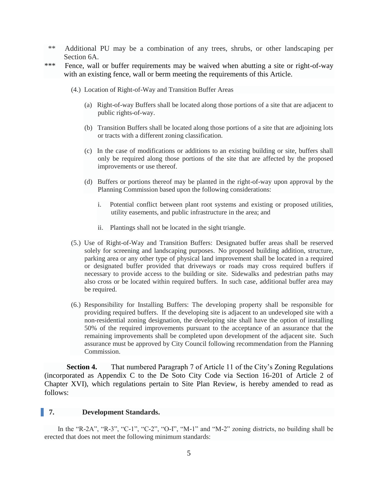- \*\* Additional PU may be a combination of any trees, shrubs, or other landscaping per Section 6A.
- \*\*\* Fence, wall or buffer requirements may be waived when abutting a site or right-of-way with an existing fence, wall or berm meeting the requirements of this Article.
	- (4.) Location of Right-of-Way and Transition Buffer Areas
		- (a) Right-of-way Buffers shall be located along those portions of a site that are adjacent to public rights-of-way.
		- (b) Transition Buffers shall be located along those portions of a site that are adjoining lots or tracts with a different zoning classification.
		- (c) In the case of modifications or additions to an existing building or site, buffers shall only be required along those portions of the site that are affected by the proposed improvements or use thereof.
		- (d) Buffers or portions thereof may be planted in the right-of-way upon approval by the Planning Commission based upon the following considerations:
			- i. Potential conflict between plant root systems and existing or proposed utilities, utility easements, and public infrastructure in the area; and
			- ii. Plantings shall not be located in the sight triangle.
	- (5.) Use of Right-of-Way and Transition Buffers: Designated buffer areas shall be reserved solely for screening and landscaping purposes. No proposed building addition, structure, parking area or any other type of physical land improvement shall be located in a required or designated buffer provided that driveways or roads may cross required buffers if necessary to provide access to the building or site. Sidewalks and pedestrian paths may also cross or be located within required buffers. In such case, additional buffer area may be required.
	- (6.) Responsibility for Installing Buffers: The developing property shall be responsible for providing required buffers. If the developing site is adjacent to an undeveloped site with a non-residential zoning designation, the developing site shall have the option of installing 50% of the required improvements pursuant to the acceptance of an assurance that the remaining improvements shall be completed upon development of the adjacent site. Such assurance must be approved by City Council following recommendation from the Planning Commission.

**Section 4.** That numbered Paragraph 7 of Article 11 of the City's Zoning Regulations (incorporated as Appendix C to the De Soto City Code via Section 16-201 of Article 2 of Chapter XVI), which regulations pertain to Site Plan Review, is hereby amended to read as follows:

#### **7. Development Standards.**

In the "R-2A", "R-3", "C-1", "C-2", "O-I", "M-1" and "M-2" zoning districts, no building shall be erected that does not meet the following minimum standards: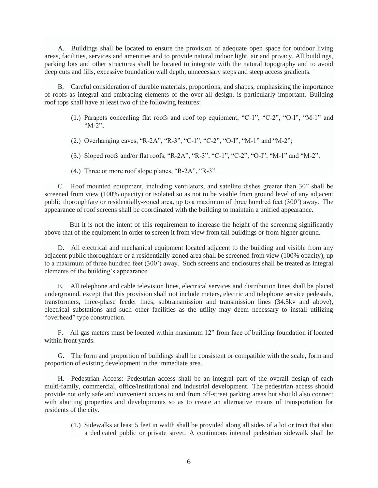A. Buildings shall be located to ensure the provision of adequate open space for outdoor living areas, facilities, services and amenities and to provide natural indoor light, air and privacy. All buildings, parking lots and other structures shall be located to integrate with the natural topography and to avoid deep cuts and fills, excessive foundation wall depth, unnecessary steps and steep access gradients.

B. Careful consideration of durable materials, proportions, and shapes, emphasizing the importance of roofs as integral and embracing elements of the over-all design, is particularly important. Building roof tops shall have at least two of the following features:

- (1.) Parapets concealing flat roofs and roof top equipment, "C-1", "C-2", "O-I", "M-1" and "M-2";
- (2.) Overhanging eaves, "R-2A", "R-3", "C-1", "C-2", "O-I", "M-1" and "M-2";
- (3.) Sloped roofs and/or flat roofs, "R-2A", "R-3", "C-1", "C-2", "O-I", "M-1" and "M-2";
- (4.) Three or more roof slope planes, "R-2A", "R-3".

C. Roof mounted equipment, including ventilators, and satellite dishes greater than 30" shall be screened from view (100% opacity) or isolated so as not to be visible from ground level of any adjacent public thoroughfare or residentially-zoned area, up to a maximum of three hundred feet (300') away. The appearance of roof screens shall be coordinated with the building to maintain a unified appearance.

 But it is not the intent of this requirement to increase the height of the screening significantly above that of the equipment in order to screen it from view from tall buildings or from higher ground.

D. All electrical and mechanical equipment located adjacent to the building and visible from any adjacent public thoroughfare or a residentially-zoned area shall be screened from view (100% opacity), up to a maximum of three hundred feet (300') away. Such screens and enclosures shall be treated as integral elements of the building's appearance.

E. All telephone and cable television lines, electrical services and distribution lines shall be placed underground, except that this provision shall not include meters, electric and telephone service pedestals, transformers, three-phase feeder lines, subtransmission and transmission lines (34.5kv and above), electrical substations and such other facilities as the utility may deem necessary to install utilizing "overhead" type construction.

F. All gas meters must be located within maximum 12" from face of building foundation if located within front yards.

G. The form and proportion of buildings shall be consistent or compatible with the scale, form and proportion of existing development in the immediate area.

H. Pedestrian Access: Pedestrian access shall be an integral part of the overall design of each multi-family, commercial, office/institutional and industrial development. The pedestrian access should provide not only safe and convenient access to and from off-street parking areas but should also connect with abutting properties and developments so as to create an alternative means of transportation for residents of the city.

(1.) Sidewalks at least 5 feet in width shall be provided along all sides of a lot or tract that abut a dedicated public or private street. A continuous internal pedestrian sidewalk shall be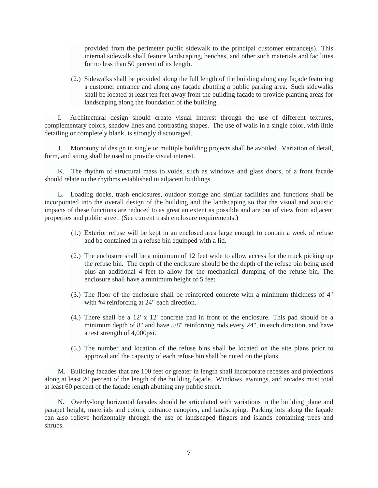provided from the perimeter public sidewalk to the principal customer entrance(s). This internal sidewalk shall feature landscaping, benches, and other such materials and facilities for no less than 50 percent of its length.

(2.) Sidewalks shall be provided along the full length of the building along any façade featuring a customer entrance and along any façade abutting a public parking area. Such sidewalks shall be located at least ten feet away from the building façade to provide planting areas for landscaping along the foundation of the building.

I. Architectural design should create visual interest through the use of different textures, complementary colors, shadow lines and contrasting shapes. The use of walls in a single color, with little detailing or completely blank, is strongly discouraged.

J. Monotony of design in single or multiple building projects shall be avoided. Variation of detail, form, and siting shall be used to provide visual interest.

K. The rhythm of structural mass to voids, such as windows and glass doors, of a front facade should relate to the rhythms established in adjacent buildings.

L. Loading docks, trash enclosures, outdoor storage and similar facilities and functions shall be incorporated into the overall design of the building and the landscaping so that the visual and acoustic impacts of these functions are reduced to as great an extent as possible and are out of view from adjacent properties and public street. (See current trash enclosure requirements.)

- (1.) Exterior refuse will be kept in an enclosed area large enough to contain a week of refuse and be contained in a refuse bin equipped with a lid.
- (2.) The enclosure shall be a minimum of 12 feet wide to allow access for the truck picking up the refuse bin. The depth of the enclosure should be the depth of the refuse bin being used plus an additional 4 feet to allow for the mechanical dumping of the refuse bin. The enclosure shall have a minimum height of 5 feet.
- (3.) The floor of the enclosure shall be reinforced concrete with a minimum thickness of 4" with #4 reinforcing at 24" each direction.
- (4.) There shall be a 12' x 12' concrete pad in front of the enclosure. This pad should be a minimum depth of 8" and have 5/8" reinforcing rods every 24", in each direction, and have a test strength of 4,000psi.
- (5.) The number and location of the refuse bins shall be located on the site plans prior to approval and the capacity of each refuse bin shall be noted on the plans.

M. Building facades that are 100 feet or greater in length shall incorporate recesses and projections along at least 20 percent of the length of the building façade. Windows, awnings, and arcades must total at least 60 percent of the façade length abutting any public street.

N. Overly-long horizontal facades should be articulated with variations in the building plane and parapet height, materials and colors, entrance canopies, and landscaping. Parking lots along the façade can also relieve horizontally through the use of landscaped fingers and islands containing trees and shrubs.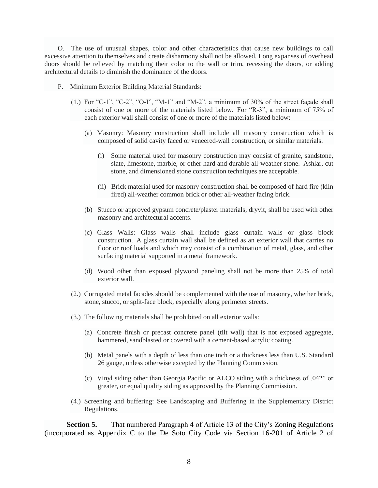O. The use of unusual shapes, color and other characteristics that cause new buildings to call excessive attention to themselves and create disharmony shall not be allowed. Long expanses of overhead doors should be relieved by matching their color to the wall or trim, recessing the doors, or adding architectural details to diminish the dominance of the doors.

- P. Minimum Exterior Building Material Standards:
	- (1.) For "C-1", "C-2", "O-I", "M-1" and "M-2", a minimum of 30% of the street façade shall consist of one or more of the materials listed below. For "R-3", a minimum of 75% of each exterior wall shall consist of one or more of the materials listed below:
		- (a) Masonry: Masonry construction shall include all masonry construction which is composed of solid cavity faced or veneered-wall construction, or similar materials.
			- (i) Some material used for masonry construction may consist of granite, sandstone, slate, limestone, marble, or other hard and durable all-weather stone. Ashlar, cut stone, and dimensioned stone construction techniques are acceptable.
			- (ii) Brick material used for masonry construction shall be composed of hard fire (kiln fired) all-weather common brick or other all-weather facing brick.
		- (b) Stucco or approved gypsum concrete/plaster materials, dryvit, shall be used with other masonry and architectural accents.
		- (c) Glass Walls: Glass walls shall include glass curtain walls or glass block construction. A glass curtain wall shall be defined as an exterior wall that carries no floor or roof loads and which may consist of a combination of metal, glass, and other surfacing material supported in a metal framework.
		- (d) Wood other than exposed plywood paneling shall not be more than 25% of total exterior wall.
	- (2.) Corrugated metal facades should be complemented with the use of masonry, whether brick, stone, stucco, or split-face block, especially along perimeter streets.
	- (3.) The following materials shall be prohibited on all exterior walls:
		- (a) Concrete finish or precast concrete panel (tilt wall) that is not exposed aggregate, hammered, sandblasted or covered with a cement-based acrylic coating.
		- (b) Metal panels with a depth of less than one inch or a thickness less than U.S. Standard 26 gauge, unless otherwise excepted by the Planning Commission.
		- (c) Vinyl siding other than Georgia Pacific or ALCO siding with a thickness of .042" or greater, or equal quality siding as approved by the Planning Commission.
	- (4.) Screening and buffering: See Landscaping and Buffering in the Supplementary District Regulations.

**Section 5.** That numbered Paragraph 4 of Article 13 of the City's Zoning Regulations (incorporated as Appendix C to the De Soto City Code via Section 16-201 of Article 2 of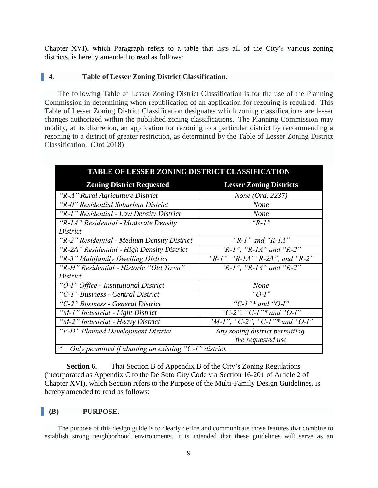Chapter XVI), which Paragraph refers to a table that lists all of the City's various zoning districts, is hereby amended to read as follows:

#### **4. Table of Lesser Zoning District Classification.**

The following Table of Lesser Zoning District Classification is for the use of the Planning Commission in determining when republication of an application for rezoning is required. This Table of Lesser Zoning District Classification designates which zoning classifications are lesser changes authorized within the published zoning classifications. The Planning Commission may modify, at its discretion, an application for rezoning to a particular district by recommending a rezoning to a district of greater restriction, as determined by the Table of Lesser Zoning District Classification. (Ord 2018)

| TABLE OF LESSER ZONING DISTRICT CLASSIFICATION                       |                                 |
|----------------------------------------------------------------------|---------------------------------|
| <b>Zoning District Requested</b>                                     | <b>Lesser Zoning Districts</b>  |
| "R-A" Rural Agriculture District                                     | <i>None</i> ( <i>Ord.</i> 2237) |
| "R-0" Residential Suburban District                                  | <b>None</b>                     |
| "R-1" Residential - Low Density District                             | <b>None</b>                     |
| "R-1A" Residential - Moderate Density                                | " $R-1$ "                       |
| District                                                             |                                 |
| "R-2" Residential - Medium Density District                          | "R-1" and "R-1A"                |
| "R-2A" Residential - High Density District                           | "R-1", "R-1A" and "R-2"         |
| "R-3" Multifamily Dwelling District                                  | "R-1", "R-1A" "R-2A", and "R-2" |
| "R-H" Residential - Historic "Old Town"                              | "R-1", "R-1A" and "R-2"         |
| District                                                             |                                 |
| "O-I" Office - Institutional District                                | <b>None</b>                     |
| "C-1" Business - Central District                                    | "O-I"                           |
| "C-2" Business - General District                                    | "C- $l$ "* and "O- $l$ "        |
| "M-1" Industrial - Light District                                    | "C-2", "C-1"* and "O-I"         |
| "M-2" Industrial - Heavy District                                    | "M-1", "C-2", "C-1"* and "O-I"  |
| "P-D" Planned Development District                                   | Any zoning district permitting  |
|                                                                      | the requested use               |
| $\ast$<br>Only permitted if abutting an existing " $C-1$ " district. |                                 |

**Section 6.** That Section B of Appendix B of the City's Zoning Regulations (incorporated as Appendix C to the De Soto City Code via Section 16-201 of Article 2 of Chapter XVI), which Section refers to the Purpose of the Multi-Family Design Guidelines, is hereby amended to read as follows:

#### **(B) PURPOSE.**

The purpose of this design guide is to clearly define and communicate those features that combine to establish strong neighborhood environments. It is intended that these guidelines will serve as an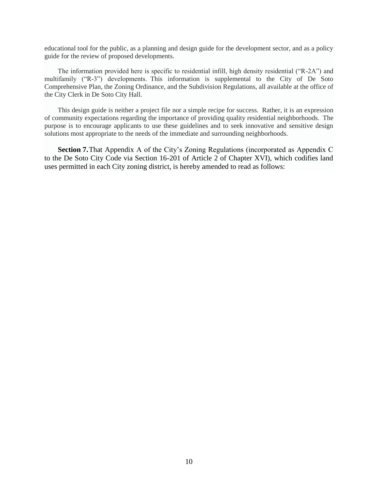educational tool for the public, as a planning and design guide for the development sector, and as a policy guide for the review of proposed developments.

The information provided here is specific to residential infill, high density residential ("R-2A") and multifamily ("R-3") developments. This information is supplemental to the City of De Soto Comprehensive Plan, the Zoning Ordinance, and the Subdivision Regulations, all available at the office of the City Clerk in De Soto City Hall.

This design guide is neither a project file nor a simple recipe for success. Rather, it is an expression of community expectations regarding the importance of providing quality residential neighborhoods. The purpose is to encourage applicants to use these guidelines and to seek innovative and sensitive design solutions most appropriate to the needs of the immediate and surrounding neighborhoods.

**Section 7.**That Appendix A of the City's Zoning Regulations (incorporated as Appendix C to the De Soto City Code via Section 16-201 of Article 2 of Chapter XVI), which codifies land uses permitted in each City zoning district, is hereby amended to read as follows: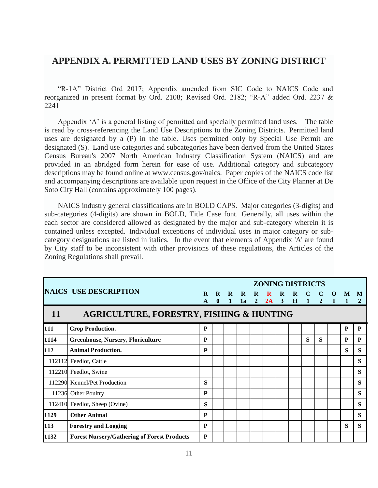# **APPENDIX A. PERMITTED LAND USES BY ZONING DISTRICT**

"R-1A" District Ord 2017; Appendix amended from SIC Code to NAICS Code and reorganized in present format by Ord. 2108; Revised Ord. 2182; "R-A" added Ord. 2237 & 2241

Appendix 'A' is a general listing of permitted and specially permitted land uses. The table is read by cross-referencing the Land Use Descriptions to the Zoning Districts. Permitted land uses are designated by a (P) in the table. Uses permitted only by Special Use Permit are designated (S). Land use categories and subcategories have been derived from the United States Census Bureau's 2007 North American Industry Classification System (NAICS) and are provided in an abridged form herein for ease of use. Additional category and subcategory descriptions may be found online at www.census.gov/naics. Paper copies of the NAICS code list and accompanying descriptions are available upon request in the Office of the City Planner at De Soto City Hall (contains approximately 100 pages).

NAICS industry general classifications are in BOLD CAPS. Major categories (3-digits) and sub-categories (4-digits) are shown in BOLD, Title Case font. Generally, all uses within the each sector are considered allowed as designated by the major and sub-category wherein it is contained unless excepted. Individual exceptions of individual uses in major category or subcategory designations are listed in italics. In the event that elements of Appendix 'A' are found by City staff to be inconsistent with other provisions of these regulations, the Articles of the Zoning Regulations shall prevail.

|      |                                                     |          |          |   |    |                | <b>ZONING DISTRICTS</b> |                |          |              |                |             |           |   |
|------|-----------------------------------------------------|----------|----------|---|----|----------------|-------------------------|----------------|----------|--------------|----------------|-------------|-----------|---|
|      | <b>NAICS USE DESCRIPTION</b>                        | $\bf{R}$ | R        | R | R  | R              | $\bf{R}$                | $\mathbf R$    | $\bf{R}$ | $\mathbf C$  | $\mathbf C$    | $\mathbf 0$ | M         | M |
| 11   | <b>AGRICULTURE, FORESTRY, FISHING &amp; HUNTING</b> | A        | $\bf{0}$ | 1 | 1a | $\overline{2}$ | 2A                      | $\overline{3}$ | H        | $\mathbf{1}$ | $\overline{2}$ | $\bf{I}$    |           | 2 |
| 111  | <b>Crop Production.</b>                             | P        |          |   |    |                |                         |                |          |              |                |             | ${\bf P}$ | P |
| 1114 | <b>Greenhouse, Nursery, Floriculture</b>            | P        |          |   |    |                |                         |                |          | S            | S              |             | P         | P |
| 112  | <b>Animal Production.</b>                           | P        |          |   |    |                |                         |                |          |              |                |             | S         | S |
|      | 112112 Feedlot, Cattle                              |          |          |   |    |                |                         |                |          |              |                |             |           | S |
|      | 112210 Feedlot, Swine                               |          |          |   |    |                |                         |                |          |              |                |             |           | S |
|      | 112290 Kennel/Pet Production                        | S        |          |   |    |                |                         |                |          |              |                |             |           | S |
|      | 11236 Other Poultry                                 | P        |          |   |    |                |                         |                |          |              |                |             |           | S |
|      | 112410 Feedlot, Sheep (Ovine)                       | S        |          |   |    |                |                         |                |          |              |                |             |           | S |
| 1129 | <b>Other Animal</b>                                 | P        |          |   |    |                |                         |                |          |              |                |             |           | S |
| 113  | <b>Forestry and Logging</b>                         | P        |          |   |    |                |                         |                |          |              |                |             | S         | S |
| 1132 | <b>Forest Nursery/Gathering of Forest Products</b>  | P        |          |   |    |                |                         |                |          |              |                |             |           |   |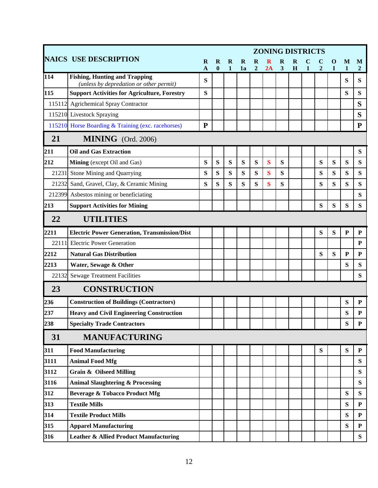|        | <b>ZONING DISTRICTS</b>                                                         |                          |                         |                             |         |                            |         |                              |        |              |                |           |                   |                     |
|--------|---------------------------------------------------------------------------------|--------------------------|-------------------------|-----------------------------|---------|----------------------------|---------|------------------------------|--------|--------------|----------------|-----------|-------------------|---------------------|
|        | <b>NAICS USE DESCRIPTION</b>                                                    | $\bf{R}$<br>$\mathbf{A}$ | $\mathbf R$<br>$\bf{0}$ | $\mathbf R$<br>$\mathbf{1}$ | R<br>1a | $\bf{R}$<br>$\overline{2}$ | 2A      | R<br>$\overline{\mathbf{3}}$ | R<br>H | $\mathbf{1}$ | $\overline{2}$ | O<br>I    | M<br>$\mathbf{1}$ | M<br>$\overline{2}$ |
| 114    | <b>Fishing, Hunting and Trapping</b><br>(unless by depredation or other permit) | S                        |                         |                             |         |                            |         |                              |        |              |                |           | S                 | S                   |
| 115    | <b>Support Activities for Agriculture, Forestry</b>                             | S                        |                         |                             |         |                            |         |                              |        |              |                |           | ${\bf S}$         | ${\bf S}$           |
| 115112 | <b>Agrichemical Spray Contractor</b>                                            |                          |                         |                             |         |                            |         |                              |        |              |                |           |                   | S                   |
|        | 115210 Livestock Spraying                                                       |                          |                         |                             |         |                            |         |                              |        |              |                |           |                   | S                   |
|        | 115210 Horse Boarding & Training (exc. racehorses)                              | ${\bf P}$                |                         |                             |         |                            |         |                              |        |              |                |           |                   | ${\bf P}$           |
| 21     | MINING (Ord. 2006)                                                              |                          |                         |                             |         |                            |         |                              |        |              |                |           |                   |                     |
| 211    | <b>Oil and Gas Extraction</b>                                                   |                          |                         |                             |         |                            |         |                              |        |              |                |           |                   | ${\bf S}$           |
| 212    | Mining (except Oil and Gas)                                                     | S                        | S                       | S                           | S       | S                          | S       | S                            |        |              | S              | ${\bf S}$ | S                 | $\bf S$             |
| 21231  | Stone Mining and Quarrying                                                      | S                        | S                       | S                           | S       | S                          | $\bf S$ | S                            |        |              | ${\bf S}$      | S         | S                 | S                   |
| 21232  | Sand, Gravel, Clay, & Ceramic Mining                                            | S                        | S                       | S                           | S       | S                          | $\bf S$ | S                            |        |              | ${\bf S}$      | S         | S                 | S                   |
| 212399 | Asbestos mining or beneficiating                                                |                          |                         |                             |         |                            |         |                              |        |              |                |           |                   | S                   |
| 213    | <b>Support Activities for Mining</b>                                            |                          |                         |                             |         |                            |         |                              |        |              | S              | S         | S                 | S                   |
| 22     | <b>UTILITIES</b>                                                                |                          |                         |                             |         |                            |         |                              |        |              |                |           |                   |                     |
| 2211   | <b>Electric Power Generation, Transmission/Dist</b>                             |                          |                         |                             |         |                            |         |                              |        |              | S              | ${\bf S}$ | ${\bf P}$         | ${\bf P}$           |
| 22111  | <b>Electric Power Generation</b>                                                |                          |                         |                             |         |                            |         |                              |        |              |                |           |                   | ${\bf P}$           |
| 2212   | <b>Natural Gas Distribution</b>                                                 |                          |                         |                             |         |                            |         |                              |        |              | ${\bf S}$      | S         | ${\bf P}$         | ${\bf P}$           |
| 2213   | Water, Sewage & Other                                                           |                          |                         |                             |         |                            |         |                              |        |              |                |           | S                 | S                   |
| 22132  | <b>Sewage Treatment Facilities</b>                                              |                          |                         |                             |         |                            |         |                              |        |              |                |           |                   | S                   |
| 23     | <b>CONSTRUCTION</b>                                                             |                          |                         |                             |         |                            |         |                              |        |              |                |           |                   |                     |
| 236    | <b>Construction of Buildings (Contractors)</b>                                  |                          |                         |                             |         |                            |         |                              |        |              |                |           | S                 | ${\bf P}$           |
| 237    | <b>Heavy and Civil Engineering Construction</b>                                 |                          |                         |                             |         |                            |         |                              |        |              |                |           | S                 | ${\bf P}$           |
| 238    | <b>Specialty Trade Contractors</b>                                              |                          |                         |                             |         |                            |         |                              |        |              |                |           | S                 | ${\bf P}$           |
| 31     | <b>MANUFACTURING</b>                                                            |                          |                         |                             |         |                            |         |                              |        |              |                |           |                   |                     |
| 311    | <b>Food Manufacturing</b>                                                       |                          |                         |                             |         |                            |         |                              |        |              | ${\bf S}$      |           | $\bf S$           | ${\bf P}$           |
| 3111   | <b>Animal Food Mfg</b>                                                          |                          |                         |                             |         |                            |         |                              |        |              |                |           |                   | S                   |
| 3112   | <b>Grain &amp; Oilseed Milling</b>                                              |                          |                         |                             |         |                            |         |                              |        |              |                |           |                   | S                   |
| 3116   | <b>Animal Slaughtering &amp; Processing</b>                                     |                          |                         |                             |         |                            |         |                              |        |              |                |           |                   | S                   |
| 312    | <b>Beverage &amp; Tobacco Product Mfg</b>                                       |                          |                         |                             |         |                            |         |                              |        |              |                |           | S                 | S                   |
| 313    | <b>Textile Mills</b>                                                            |                          |                         |                             |         |                            |         |                              |        |              |                |           | S                 | ${\bf P}$           |
| 314    | <b>Textile Product Mills</b>                                                    |                          |                         |                             |         |                            |         |                              |        |              |                |           | S                 | P                   |
| 315    | <b>Apparel Manufacturing</b>                                                    |                          |                         |                             |         |                            |         |                              |        |              |                |           | S                 | ${\bf P}$           |
| 316    | <b>Leather &amp; Allied Product Manufacturing</b>                               |                          |                         |                             |         |                            |         |                              |        |              |                |           |                   | $S_{\text{}}$       |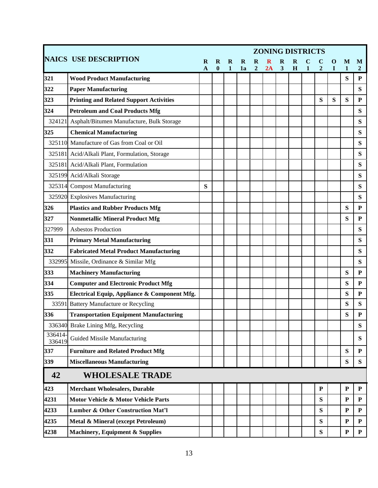|                  |                                                  | <b>ZONING DISTRICTS</b> |                       |                   |         |                            |    |                         |   |              |                |        |             |                     |
|------------------|--------------------------------------------------|-------------------------|-----------------------|-------------------|---------|----------------------------|----|-------------------------|---|--------------|----------------|--------|-------------|---------------------|
|                  | <b>NAICS USE DESCRIPTION</b>                     | R<br>A                  | R<br>$\boldsymbol{0}$ | R<br>$\mathbf{1}$ | R<br>1a | $\bf{R}$<br>$\overline{2}$ | 2A | $\overline{\mathbf{3}}$ | H | $\mathbf{1}$ | $\overline{2}$ | O<br>T | M<br>1      | M<br>$\overline{2}$ |
| 321              | <b>Wood Product Manufacturing</b>                |                         |                       |                   |         |                            |    |                         |   |              |                |        | S           | P                   |
| 322              | <b>Paper Manufacturing</b>                       |                         |                       |                   |         |                            |    |                         |   |              |                |        |             | S                   |
| 323              | <b>Printing and Related Support Activities</b>   |                         |                       |                   |         |                            |    |                         |   |              | S              | S      | S           | ${\bf P}$           |
| 324              | <b>Petroleum and Coal Products Mfg</b>           |                         |                       |                   |         |                            |    |                         |   |              |                |        |             | S                   |
|                  | 324121 Asphalt/Bitumen Manufacture, Bulk Storage |                         |                       |                   |         |                            |    |                         |   |              |                |        |             | S                   |
| 325              | <b>Chemical Manufacturing</b>                    |                         |                       |                   |         |                            |    |                         |   |              |                |        |             | S                   |
|                  | 325110 Manufacture of Gas from Coal or Oil       |                         |                       |                   |         |                            |    |                         |   |              |                |        |             | S                   |
|                  | 325181 Acid/Alkali Plant, Formulation, Storage   |                         |                       |                   |         |                            |    |                         |   |              |                |        |             | S                   |
| 325181           | Acid/Alkali Plant, Formulation                   |                         |                       |                   |         |                            |    |                         |   |              |                |        |             | S                   |
|                  | 325199 Acid/Alkali Storage                       |                         |                       |                   |         |                            |    |                         |   |              |                |        |             | ${\bf S}$           |
| 325314           | <b>Compost Manufacturing</b>                     | S                       |                       |                   |         |                            |    |                         |   |              |                |        |             | S                   |
|                  | 325920 Explosives Manufacturing                  |                         |                       |                   |         |                            |    |                         |   |              |                |        |             | ${\bf S}$           |
| 326              | <b>Plastics and Rubber Products Mfg</b>          |                         |                       |                   |         |                            |    |                         |   |              |                |        | S           | ${\bf P}$           |
| 327              | <b>Nonmetallic Mineral Product Mfg</b>           |                         |                       |                   |         |                            |    |                         |   |              |                |        | S           | ${\bf P}$           |
| 327999           | <b>Asbestos Production</b>                       |                         |                       |                   |         |                            |    |                         |   |              |                |        |             | S                   |
| 331              | <b>Primary Metal Manufacturing</b>               |                         |                       |                   |         |                            |    |                         |   |              |                |        |             | S                   |
| 332              | <b>Fabricated Metal Product Manufacturing</b>    |                         |                       |                   |         |                            |    |                         |   |              |                |        |             | S                   |
|                  | 332995 Missile, Ordinance & Similar Mfg          |                         |                       |                   |         |                            |    |                         |   |              |                |        |             | S                   |
| 333              | <b>Machinery Manufacturing</b>                   |                         |                       |                   |         |                            |    |                         |   |              |                |        | S           | $\mathbf{P}$        |
| 334              | <b>Computer and Electronic Product Mfg</b>       |                         |                       |                   |         |                            |    |                         |   |              |                |        | S           | $\mathbf{P}$        |
| 335              | Electrical Equip, Appliance & Component Mfg.     |                         |                       |                   |         |                            |    |                         |   |              |                |        | S           | ${\bf P}$           |
|                  | 33591 Battery Manufacture or Recycling           |                         |                       |                   |         |                            |    |                         |   |              |                |        | S           | S                   |
| 336              | <b>Transportation Equipment Manufacturing</b>    |                         |                       |                   |         |                            |    |                         |   |              |                |        | S           | ${\bf P}$           |
|                  | 336340 Brake Lining Mfg, Recycling               |                         |                       |                   |         |                            |    |                         |   |              |                |        |             | ${\bf S}$           |
| 336414<br>336419 | Guided Missile Manufacturing                     |                         |                       |                   |         |                            |    |                         |   |              |                |        |             | S                   |
| 337              | <b>Furniture and Related Product Mfg</b>         |                         |                       |                   |         |                            |    |                         |   |              |                |        | S           | ${\bf P}$           |
| 339              | <b>Miscellaneous Manufacturing</b>               |                         |                       |                   |         |                            |    |                         |   |              |                |        | S           | S                   |
| 42               | <b>WHOLESALE TRADE</b>                           |                         |                       |                   |         |                            |    |                         |   |              |                |        |             |                     |
| 423              | <b>Merchant Wholesalers, Durable</b>             |                         |                       |                   |         |                            |    |                         |   |              | ${\bf P}$      |        | ${\bf P}$   | ${\bf P}$           |
| 4231             | Motor Vehicle & Motor Vehicle Parts              |                         |                       |                   |         |                            |    |                         |   |              | S              |        | P           | $\mathbf{P}$        |
| 4233             | <b>Lumber &amp; Other Construction Mat'l</b>     |                         |                       |                   |         |                            |    |                         |   |              | S              |        | ${\bf P}$   | ${\bf P}$           |
| 4235             | Metal & Mineral (except Petroleum)               |                         |                       |                   |         |                            |    |                         |   |              | S              |        | ${\bf P}$   | ${\bf P}$           |
| 4238             | <b>Machinery, Equipment &amp; Supplies</b>       |                         |                       |                   |         |                            |    |                         |   |              | S              |        | $\mathbf P$ | ${\bf P}$           |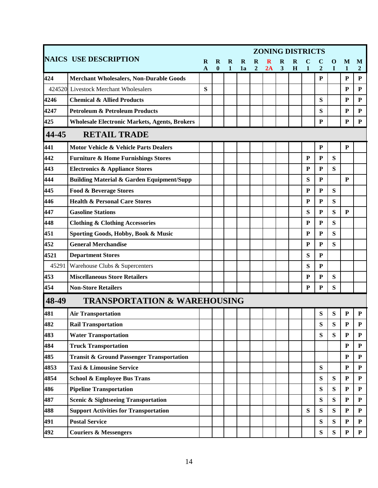|       |                                                      | <b>ZONING DISTRICTS</b>  |               |                   |         |                            |    |        |        |              |                |           |             |                     |
|-------|------------------------------------------------------|--------------------------|---------------|-------------------|---------|----------------------------|----|--------|--------|--------------|----------------|-----------|-------------|---------------------|
|       | <b>NAICS USE DESCRIPTION</b>                         | $\bf{R}$<br>$\mathbf{A}$ | R<br>$\bf{0}$ | R<br>$\mathbf{1}$ | R<br>1a | $\bf{R}$<br>$\overline{2}$ | 2A | R<br>3 | R<br>H | $\mathbf{1}$ | $\overline{2}$ | O<br>I    | M<br>1      | M<br>$\overline{2}$ |
| 424   | <b>Merchant Wholesalers, Non-Durable Goods</b>       |                          |               |                   |         |                            |    |        |        |              | P              |           | $\mathbf P$ | P                   |
|       | 424520 Livestock Merchant Wholesalers                | S                        |               |                   |         |                            |    |        |        |              |                |           | P           | ${\bf P}$           |
| 4246  | <b>Chemical &amp; Allied Products</b>                |                          |               |                   |         |                            |    |        |        |              | S              |           | P           | ${\bf P}$           |
| 4247  | <b>Petroleum &amp; Petroleum Products</b>            |                          |               |                   |         |                            |    |        |        |              | S              |           | P           | ${\bf P}$           |
| 425   | <b>Wholesale Electronic Markets, Agents, Brokers</b> |                          |               |                   |         |                            |    |        |        |              | ${\bf P}$      |           | ${\bf P}$   | ${\bf P}$           |
| 44-45 | <b>RETAIL TRADE</b>                                  |                          |               |                   |         |                            |    |        |        |              |                |           |             |                     |
| 441   | <b>Motor Vehicle &amp; Vehicle Parts Dealers</b>     |                          |               |                   |         |                            |    |        |        |              | ${\bf P}$      |           | ${\bf P}$   |                     |
| 442   | <b>Furniture &amp; Home Furnishings Stores</b>       |                          |               |                   |         |                            |    |        |        | ${\bf P}$    | ${\bf P}$      | S         |             |                     |
| 443   | <b>Electronics &amp; Appliance Stores</b>            |                          |               |                   |         |                            |    |        |        | ${\bf P}$    | ${\bf P}$      | S         |             |                     |
| 444   | <b>Building Material &amp; Garden Equipment/Supp</b> |                          |               |                   |         |                            |    |        |        | S            | ${\bf P}$      |           | ${\bf P}$   |                     |
| 445   | Food & Beverage Stores                               |                          |               |                   |         |                            |    |        |        | ${\bf P}$    | $\mathbf P$    | S         |             |                     |
| 446   | <b>Health &amp; Personal Care Stores</b>             |                          |               |                   |         |                            |    |        |        | P            | ${\bf P}$      | ${\bf S}$ |             |                     |
| 447   | <b>Gasoline Stations</b>                             |                          |               |                   |         |                            |    |        |        | S            | ${\bf P}$      | S         | ${\bf P}$   |                     |
| 448   | <b>Clothing &amp; Clothing Accessories</b>           |                          |               |                   |         |                            |    |        |        | P            | ${\bf P}$      | ${\bf S}$ |             |                     |
| 451   | Sporting Goods, Hobby, Book & Music                  |                          |               |                   |         |                            |    |        |        | P            | ${\bf P}$      | ${\bf S}$ |             |                     |
| 452   | <b>General Merchandise</b>                           |                          |               |                   |         |                            |    |        |        | ${\bf P}$    | ${\bf P}$      | S         |             |                     |
| 4521  | <b>Department Stores</b>                             |                          |               |                   |         |                            |    |        |        | S            | ${\bf P}$      |           |             |                     |
| 45291 | Warehouse Clubs & Supercenters                       |                          |               |                   |         |                            |    |        |        | S            | ${\bf P}$      |           |             |                     |
| 453   | <b>Miscellaneous Store Retailers</b>                 |                          |               |                   |         |                            |    |        |        | P            | ${\bf P}$      | S         |             |                     |
| 454   | <b>Non-Store Retailers</b>                           |                          |               |                   |         |                            |    |        |        | P            | ${\bf P}$      | S         |             |                     |
| 48-49 | <b>TRANSPORTATION &amp; WAREHOUSING</b>              |                          |               |                   |         |                            |    |        |        |              |                |           |             |                     |
| 481   | <b>Air Transportation</b>                            |                          |               |                   |         |                            |    |        |        |              | S              | S         | P           | P                   |
| 482   | <b>Rail Transportation</b>                           |                          |               |                   |         |                            |    |        |        |              | S              | ${\bf S}$ | ${\bf P}$   | $\mathbf P$         |
| 483   | <b>Water Transportation</b>                          |                          |               |                   |         |                            |    |        |        |              | S              | S         | ${\bf P}$   | ${\bf P}$           |
| 484   | <b>Truck Transportation</b>                          |                          |               |                   |         |                            |    |        |        |              |                |           | ${\bf P}$   | ${\bf P}$           |
| 485   | <b>Transit &amp; Ground Passenger Transportation</b> |                          |               |                   |         |                            |    |        |        |              |                |           | ${\bf P}$   | ${\bf P}$           |
| 4853  | <b>Taxi &amp; Limousine Service</b>                  |                          |               |                   |         |                            |    |        |        |              | S              |           | ${\bf P}$   | ${\bf P}$           |
| 4854  | <b>School &amp; Employee Bus Trans</b>               |                          |               |                   |         |                            |    |        |        |              | S              | S         | $\mathbf P$ | ${\bf P}$           |
| 486   | <b>Pipeline Transportation</b>                       |                          |               |                   |         |                            |    |        |        |              | ${\bf S}$      | ${\bf S}$ | ${\bf P}$   | ${\bf P}$           |
| 487   | <b>Scenic &amp; Sightseeing Transportation</b>       |                          |               |                   |         |                            |    |        |        |              | S              | ${\bf S}$ | ${\bf P}$   | ${\bf P}$           |
| 488   | <b>Support Activities for Transportation</b>         |                          |               |                   |         |                            |    |        |        | S            | S              | S         | ${\bf P}$   | ${\bf P}$           |
| 491   | <b>Postal Service</b>                                |                          |               |                   |         |                            |    |        |        |              | S              | S         | ${\bf P}$   | ${\bf P}$           |
| 492   | <b>Couriers &amp; Messengers</b>                     |                          |               |                   |         |                            |    |        |        |              | ${\bf S}$      | ${\bf S}$ | ${\bf P}$   | ${\bf P}$           |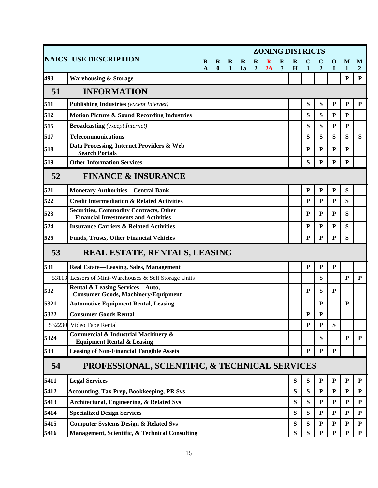|      |                                                                                              | <b>ZONING DISTRICTS</b>  |               |                   |                   |                            |         |                          |           |              |                |           |                   |                     |
|------|----------------------------------------------------------------------------------------------|--------------------------|---------------|-------------------|-------------------|----------------------------|---------|--------------------------|-----------|--------------|----------------|-----------|-------------------|---------------------|
|      | <b>NAICS USE DESCRIPTION</b>                                                                 | $\bf{R}$<br>$\mathbf{A}$ | R<br>$\bf{0}$ | R<br>$\mathbf{1}$ | $\mathbf R$<br>1a | $\bf{R}$<br>$\overline{2}$ | R<br>2A | $\bf{R}$<br>$\mathbf{3}$ | R<br>H    | $\mathbf{1}$ | $\overline{2}$ | O<br>T    | M<br>$\mathbf{1}$ | M<br>$\overline{2}$ |
| 493  | <b>Warehousing &amp; Storage</b>                                                             |                          |               |                   |                   |                            |         |                          |           |              |                |           | ${\bf P}$         | ${\bf P}$           |
| 51   | <b>INFORMATION</b>                                                                           |                          |               |                   |                   |                            |         |                          |           |              |                |           |                   |                     |
| 511  | <b>Publishing Industries</b> (except Internet)                                               |                          |               |                   |                   |                            |         |                          |           | S            | S              | ${\bf P}$ | ${\bf P}$         | ${\bf P}$           |
| 512  | <b>Motion Picture &amp; Sound Recording Industries</b>                                       |                          |               |                   |                   |                            |         |                          |           | S            | S              | P         | P                 |                     |
| 515  | <b>Broadcasting</b> (except Internet)                                                        |                          |               |                   |                   |                            |         |                          |           | S            | S              | ${\bf P}$ | P                 |                     |
| 517  | <b>Telecommunications</b>                                                                    |                          |               |                   |                   |                            |         |                          |           | S            | S              | S         | S                 | S                   |
| 518  | Data Processing, Internet Providers & Web<br><b>Search Portals</b>                           |                          |               |                   |                   |                            |         |                          |           | P            | P              | P         | P                 |                     |
| 519  | <b>Other Information Services</b>                                                            |                          |               |                   |                   |                            |         |                          |           | S            | $\mathbf{P}$   | ${\bf P}$ | ${\bf P}$         |                     |
| 52   | <b>FINANCE &amp; INSURANCE</b>                                                               |                          |               |                   |                   |                            |         |                          |           |              |                |           |                   |                     |
| 521  | <b>Monetary Authorities-Central Bank</b>                                                     |                          |               |                   |                   |                            |         |                          |           | ${\bf P}$    | ${\bf P}$      | ${\bf P}$ | S                 |                     |
| 522  | <b>Credit Intermediation &amp; Related Activities</b>                                        |                          |               |                   |                   |                            |         |                          |           | $\mathbf{P}$ | ${\bf P}$      | P         | S                 |                     |
| 523  | <b>Securities, Commodity Contracts, Other</b><br><b>Financial Investments and Activities</b> |                          |               |                   |                   |                            |         |                          |           | P            | $\mathbf{P}$   | P         | S                 |                     |
| 524  | <b>Insurance Carriers &amp; Related Activities</b>                                           |                          |               |                   |                   |                            |         |                          |           | P            | $\mathbf{P}$   | P         | S                 |                     |
| 525  | <b>Funds, Trusts, Other Financial Vehicles</b>                                               |                          |               |                   |                   |                            |         |                          |           | ${\bf P}$    | ${\bf P}$      | ${\bf P}$ | S                 |                     |
| 53   | REAL ESTATE, RENTALS, LEASING                                                                |                          |               |                   |                   |                            |         |                          |           |              |                |           |                   |                     |
| 531  | Real Estate-Leasing, Sales, Management                                                       |                          |               |                   |                   |                            |         |                          |           | $\mathbf{P}$ | $\mathbf{P}$   | ${\bf P}$ |                   |                     |
|      | 53113 Lessors of Mini-Warehouses & Self Storage Units                                        |                          |               |                   |                   |                            |         |                          |           |              | S              |           | $\mathbf{P}$      | ${\bf P}$           |
| 532  | Rental & Leasing Services-Auto,<br><b>Consumer Goods, Machinery/Equipment</b>                |                          |               |                   |                   |                            |         |                          |           | P            | S              | P         |                   |                     |
| 5321 | <b>Automotive Equipment Rental, Leasing</b>                                                  |                          |               |                   |                   |                            |         |                          |           |              | P              |           | P                 |                     |
| 5322 | <b>Consumer Goods Rental</b>                                                                 |                          |               |                   |                   |                            |         |                          |           | P            | P              |           |                   |                     |
|      | 532230 Video Tape Rental                                                                     |                          |               |                   |                   |                            |         |                          |           | ${\bf P}$    | ${\bf P}$      | S         |                   |                     |
| 5324 | Commercial & Industrial Machinery &<br><b>Equipment Rental &amp; Leasing</b>                 |                          |               |                   |                   |                            |         |                          |           |              | S              |           | P                 | P                   |
| 533  | <b>Leasing of Non-Financial Tangible Assets</b>                                              |                          |               |                   |                   |                            |         |                          |           | $\mathbf{P}$ | ${\bf P}$      | ${\bf P}$ |                   |                     |
| 54   | PROFESSIONAL, SCIENTIFIC, & TECHNICAL SERVICES                                               |                          |               |                   |                   |                            |         |                          |           |              |                |           |                   |                     |
| 5411 | <b>Legal Services</b>                                                                        |                          |               |                   |                   |                            |         |                          | S         | ${\bf S}$    | ${\bf P}$      | ${\bf P}$ | ${\bf P}$         | ${\bf P}$           |
| 5412 | <b>Accounting, Tax Prep, Bookkeeping, PR Svs</b>                                             |                          |               |                   |                   |                            |         |                          | ${\bf S}$ | ${\bf S}$    | P              | P         | ${\bf P}$         | ${\bf P}$           |
| 5413 | Architectural, Engineering, & Related Svs                                                    |                          |               |                   |                   |                            |         |                          | S         | S            | $\mathbf{P}$   | ${\bf P}$ | ${\bf P}$         | ${\bf P}$           |
| 5414 | <b>Specialized Design Services</b>                                                           |                          |               |                   |                   |                            |         |                          | S         | S            | $\mathbf{P}$   | ${\bf P}$ | ${\bf P}$         | ${\bf P}$           |
| 5415 | <b>Computer Systems Design &amp; Related Svs</b>                                             |                          |               |                   |                   |                            |         |                          | S         | S            | ${\bf P}$      | ${\bf P}$ | ${\bf P}$         | ${\bf P}$           |
| 5416 | Management, Scientific, & Technical Consulting                                               |                          |               |                   |                   |                            |         |                          | S         | S            | ${\bf P}$      | ${\bf P}$ | ${\bf P}$         | ${\bf P}$           |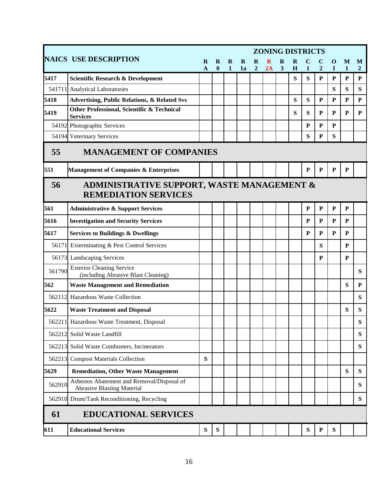|                                                                                            |                                                                                 | <b>ZONING DISTRICTS</b> |               |                          |                |                               |         |                                     |        |              |                |                      |                   |                     |
|--------------------------------------------------------------------------------------------|---------------------------------------------------------------------------------|-------------------------|---------------|--------------------------|----------------|-------------------------------|---------|-------------------------------------|--------|--------------|----------------|----------------------|-------------------|---------------------|
|                                                                                            | <b>NAICS USE DESCRIPTION</b>                                                    | R<br>$\mathbf{A}$       | R<br>$\bf{0}$ | $\bf{R}$<br>$\mathbf{1}$ | $\bf{R}$<br>1a | $\mathbf R$<br>$\overline{2}$ | R<br>2A | $\bf{R}$<br>$\overline{\mathbf{3}}$ | R<br>H | $\mathbf{1}$ | $\overline{2}$ | $\bf{0}$<br>$\bf{I}$ | M<br>$\mathbf{1}$ | M<br>$\overline{2}$ |
| 5417                                                                                       | <b>Scientific Research &amp; Development</b>                                    |                         |               |                          |                |                               |         |                                     | S      | S            | $\mathbf P$    | $\mathbf P$          | P                 | $\mathbf P$         |
|                                                                                            | 541711 Analytical Laboratories                                                  |                         |               |                          |                |                               |         |                                     |        |              |                | S                    | S                 | S                   |
| 5418                                                                                       | <b>Advertising, Public Relations, &amp; Related Svs</b>                         |                         |               |                          |                |                               |         |                                     | S      | S            | $\mathbf P$    | ${\bf P}$            | ${\bf P}$         | ${\bf P}$           |
| 5419                                                                                       | Other Professional, Scientific & Technical<br><b>Services</b>                   |                         |               |                          |                |                               |         |                                     | S      | S            | ${\bf P}$      | P                    | ${\bf P}$         | P                   |
|                                                                                            | 54192 Photographic Services                                                     |                         |               |                          |                |                               |         |                                     |        | ${\bf P}$    | ${\bf P}$      | P                    |                   |                     |
|                                                                                            | 54194 Veterinary Services                                                       |                         |               |                          |                |                               |         |                                     |        | S            | ${\bf P}$      | S                    |                   |                     |
| 55<br><b>MANAGEMENT OF COMPANIES</b>                                                       |                                                                                 |                         |               |                          |                |                               |         |                                     |        |              |                |                      |                   |                     |
| 551                                                                                        | <b>Management of Companies &amp; Enterprises</b>                                |                         |               |                          |                |                               |         |                                     |        | ${\bf P}$    | ${\bf P}$      | $\mathbf P$          | ${\bf P}$         |                     |
| <b>ADMINISTRATIVE SUPPORT, WASTE MANAGEMENT &amp;</b><br>56<br><b>REMEDIATION SERVICES</b> |                                                                                 |                         |               |                          |                |                               |         |                                     |        |              |                |                      |                   |                     |
| 561                                                                                        | <b>Administrative &amp; Support Services</b>                                    |                         |               |                          |                |                               |         |                                     |        | $\mathbf P$  | $\mathbf P$    | ${\bf P}$            | ${\bf P}$         |                     |
| 5616                                                                                       | <b>Investigation and Security Services</b>                                      |                         |               |                          |                |                               |         |                                     |        | ${\bf P}$    | ${\bf P}$      | ${\bf P}$            | ${\bf P}$         |                     |
| 5617                                                                                       | <b>Services to Buildings &amp; Dwellings</b>                                    |                         |               |                          |                |                               |         |                                     |        | P            | ${\bf P}$      | P                    | ${\bf P}$         |                     |
| 56171                                                                                      | Exterminating & Pest Control Services                                           |                         |               |                          |                |                               |         |                                     |        |              | S              |                      | P                 |                     |
|                                                                                            | 56173 Landscaping Services                                                      |                         |               |                          |                |                               |         |                                     |        |              | ${\bf P}$      |                      | P                 |                     |
| 561790                                                                                     | <b>Exterior Cleaning Service</b><br>(including Abrasive Blast Cleaning)         |                         |               |                          |                |                               |         |                                     |        |              |                |                      |                   | ${\bf S}$           |
| 562                                                                                        | <b>Waste Management and Remediation</b>                                         |                         |               |                          |                |                               |         |                                     |        |              |                |                      | ${\bf S}$         | ${\bf P}$           |
|                                                                                            | 562112 Hazardous Waste Collection                                               |                         |               |                          |                |                               |         |                                     |        |              |                |                      |                   | ${\bf S}$           |
| 5622                                                                                       | <b>Waste Treatment and Disposal</b>                                             |                         |               |                          |                |                               |         |                                     |        |              |                |                      | ${\bf S}$         | ${\bf S}$           |
|                                                                                            | 562211 Hazardous Waste Treatment, Disposal                                      |                         |               |                          |                |                               |         |                                     |        |              |                |                      |                   | ${\bf S}$           |
| 562212                                                                                     | Solid Waste Landfill                                                            |                         |               |                          |                |                               |         |                                     |        |              |                |                      |                   | S                   |
| 562213                                                                                     | Solid Waste Combusters, Incinerators                                            |                         |               |                          |                |                               |         |                                     |        |              |                |                      |                   | ${\bf S}$           |
| 562213                                                                                     | <b>Compost Materials Collection</b>                                             | S                       |               |                          |                |                               |         |                                     |        |              |                |                      |                   |                     |
| 5629                                                                                       | <b>Remediation, Other Waste Management</b>                                      |                         |               |                          |                |                               |         |                                     |        |              |                |                      | S                 | S                   |
| 562910                                                                                     | Asbestos Abatement and Removal/Disposal of<br><b>Abrasive Blasting Material</b> |                         |               |                          |                |                               |         |                                     |        |              |                |                      |                   | S                   |
|                                                                                            | 562910 Drum/Tank Reconditioning, Recycling                                      |                         |               |                          |                |                               |         |                                     |        |              |                |                      |                   | ${\bf S}$           |
| 61                                                                                         | <b>EDUCATIONAL SERVICES</b>                                                     |                         |               |                          |                |                               |         |                                     |        |              |                |                      |                   |                     |
| 611                                                                                        | <b>Educational Services</b>                                                     | S                       | S             |                          |                |                               |         |                                     |        | ${\bf S}$    | $\mathbf P$    | S                    |                   |                     |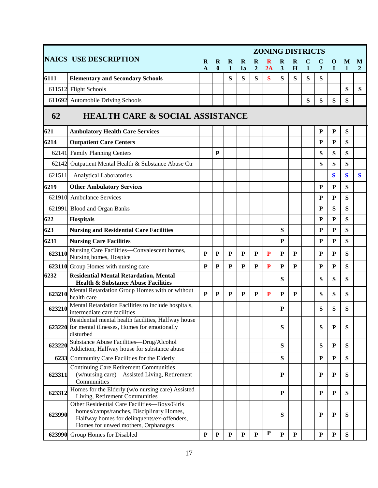|        |                                                                                                                                                                                | <b>ZONING DISTRICTS</b> |               |                   |                   |                            |             |              |              |              |                               |                  |         |              |
|--------|--------------------------------------------------------------------------------------------------------------------------------------------------------------------------------|-------------------------|---------------|-------------------|-------------------|----------------------------|-------------|--------------|--------------|--------------|-------------------------------|------------------|---------|--------------|
|        | <b>NAICS USE DESCRIPTION</b>                                                                                                                                                   | R<br>$\mathbf{A}$       | R<br>$\bf{0}$ | R<br>$\mathbf{1}$ | $\mathbf R$<br>1a | $\bf{R}$<br>$\overline{2}$ | 2A          | R<br>3       | R<br>H       | $\mathbf{1}$ | $\mathbf C$<br>$\overline{2}$ | $\mathbf 0$<br>I | M<br>1  | M<br>2       |
| 6111   | <b>Elementary and Secondary Schools</b>                                                                                                                                        |                         |               | S                 | S                 | S                          | $\bf S$     | S            | ${\bf S}$    | ${\bf S}$    | S                             |                  |         |              |
| 611512 | <b>Flight Schools</b>                                                                                                                                                          |                         |               |                   |                   |                            |             |              |              |              |                               |                  | S       | S            |
|        | 611692 Automobile Driving Schools                                                                                                                                              |                         |               |                   |                   |                            |             |              |              | S            | ${\bf S}$                     | ${\bf S}$        | S       |              |
| 62     | <b>HEALTH CARE &amp; SOCIAL ASSISTANCE</b>                                                                                                                                     |                         |               |                   |                   |                            |             |              |              |              |                               |                  |         |              |
| 621    | <b>Ambulatory Health Care Services</b>                                                                                                                                         |                         |               |                   |                   |                            |             |              |              |              | ${\bf P}$                     | $\mathbf P$      | S       |              |
| 6214   | <b>Outpatient Care Centers</b>                                                                                                                                                 |                         |               |                   |                   |                            |             |              |              |              | P                             | ${\bf P}$        | S       |              |
| 62141  | <b>Family Planning Centers</b>                                                                                                                                                 |                         | $\mathbf{P}$  |                   |                   |                            |             |              |              |              | S                             | S                | S       |              |
| 62142  | Outpatient Mental Health & Substance Abuse Ctr                                                                                                                                 |                         |               |                   |                   |                            |             |              |              |              | ${\bf S}$                     | S                | S       |              |
| 621511 | <b>Analytical Laboratories</b>                                                                                                                                                 |                         |               |                   |                   |                            |             |              |              |              |                               | $\bf{S}$         | $\bf S$ | $\mathbf{S}$ |
| 6219   | <b>Other Ambulatory Services</b>                                                                                                                                               |                         |               |                   |                   |                            |             |              |              |              | ${\bf P}$                     | ${\bf P}$        | S       |              |
|        | 621910 Ambulance Services                                                                                                                                                      |                         |               |                   |                   |                            |             |              |              |              | ${\bf P}$                     | ${\bf P}$        | S       |              |
| 621991 | <b>Blood and Organ Banks</b>                                                                                                                                                   |                         |               |                   |                   |                            |             |              |              |              | P                             | S                | S       |              |
| 622    | <b>Hospitals</b>                                                                                                                                                               |                         |               |                   |                   |                            |             |              |              |              | ${\bf P}$                     | ${\bf P}$        | S       |              |
| 623    | <b>Nursing and Residential Care Facilities</b>                                                                                                                                 |                         |               |                   |                   |                            |             | S            |              |              | ${\bf P}$                     | ${\bf P}$        | S       |              |
| 6231   | <b>Nursing Care Facilities</b>                                                                                                                                                 |                         |               |                   |                   |                            |             | ${\bf P}$    |              |              | ${\bf P}$                     | ${\bf P}$        | S       |              |
| 623110 | Nursing Care Facilities---Convalescent homes,<br>Nursing homes, Hospice                                                                                                        | P                       | P             | P                 | ${\bf P}$         | ${\bf P}$                  | P           | P            | P            |              | P                             | ${\bf P}$        | S       |              |
|        | 623110 Group Homes with nursing care                                                                                                                                           | $\mathbf{P}$            | P             | P                 | P                 | P                          | ${\bf P}$   | P            | P            |              | ${\bf P}$                     | ${\bf P}$        | S       |              |
| 6232   | <b>Residential Mental Retardation, Mental</b><br><b>Health &amp; Substance Abuse Facilities</b>                                                                                |                         |               |                   |                   |                            |             | S            |              |              | ${\bf S}$                     | ${\bf S}$        | S       |              |
| 623210 | Mental Retardation Group Homes with or without<br>health care                                                                                                                  | $\mathbf{P}$            | ${\bf P}$     | P                 | ${\bf P}$         | P                          | P           | ${\bf P}$    | ${\bf P}$    |              | S                             | ${\bf S}$        | S       |              |
| 623210 | Mental Retardation Facilities to include hospitals,<br>intermediate care facilities                                                                                            |                         |               |                   |                   |                            |             | ${\bf P}$    |              |              | S                             | ${\bf S}$        | S       |              |
|        | Residential mental health facilities, Halfway house<br>623220 for mental illnesses, Homes for emotionally<br>disturbed                                                         |                         |               |                   |                   |                            |             | S            |              |              | S                             | ${\bf P}$        | S       |              |
| 623220 | Substance Abuse Facilities-Drug/Alcohol<br>Addiction, Halfway house for substance abuse                                                                                        |                         |               |                   |                   |                            |             | S            |              |              | S                             | ${\bf P}$        | S       |              |
| 6233   | Community Care Facilities for the Elderly                                                                                                                                      |                         |               |                   |                   |                            |             | S            |              |              | ${\bf P}$                     | $\mathbf P$      | S       |              |
| 623311 | <b>Continuing Care Retirement Communities</b><br>(w/nursing care)—Assisted Living, Retirement<br>Communities                                                                   |                         |               |                   |                   |                            |             | P            |              |              | P                             | ${\bf P}$        | S       |              |
| 623312 | Homes for the Elderly (w/o nursing care) Assisted<br>Living, Retirement Communities                                                                                            |                         |               |                   |                   |                            |             | P            |              |              | $\mathbf P$                   | $\mathbf P$      | S       |              |
| 623990 | Other Residential Care Facilities-Boys/Girls<br>homes/camps/ranches, Disciplinary Homes,<br>Halfway homes for delinquents/ex-offenders,<br>Homes for unwed mothers, Orphanages |                         |               |                   |                   |                            |             | S            |              |              | ${\bf P}$                     | ${\bf P}$        | S       |              |
|        | 623990 Group Homes for Disabled                                                                                                                                                | $\mathbf P$             | $\mathbf P$   | $\mathbf{P}$      | ${\bf P}$         | ${\bf P}$                  | $\mathbf P$ | $\mathbf{P}$ | $\mathbf{P}$ |              | ${\bf P}$                     | ${\bf P}$        | S       |              |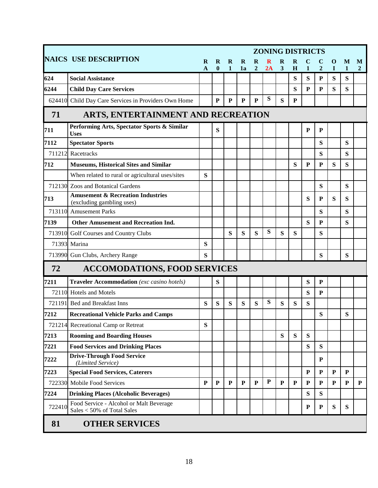|                                          | <b>NAICS USE DESCRIPTION</b>                                              | R<br>$\mathbf{A}$ | R<br>$\bf{0}$ | R<br>$\mathbf{1}$ | $\bf{R}$<br>1a | $\mathbf R$<br>$\overline{2}$ | 2A        | R<br>$\overline{\mathbf{3}}$ | $\mathbf R$<br>H | $\mathbf{1}$ | $\mathbf C$<br>$\overline{2}$ | $\mathbf 0$<br>$\mathbf I$ | M<br>1    | M<br>$\mathbf{2}$ |
|------------------------------------------|---------------------------------------------------------------------------|-------------------|---------------|-------------------|----------------|-------------------------------|-----------|------------------------------|------------------|--------------|-------------------------------|----------------------------|-----------|-------------------|
| 624                                      | <b>Social Assistance</b>                                                  |                   |               |                   |                |                               |           |                              | S                | S            | P                             | S                          | S         |                   |
| 6244                                     | <b>Child Day Care Services</b>                                            |                   |               |                   |                |                               |           |                              | S                | ${\bf P}$    | P                             | S                          | S         |                   |
|                                          | 624410 Child Day Care Services in Providers Own Home                      |                   | P             | ${\bf P}$         | ${\bf P}$      | $\mathbf{P}$                  | ${\bf S}$ | S                            | ${\bf P}$        |              |                               |                            |           |                   |
| 71<br>ARTS, ENTERTAINMENT AND RECREATION |                                                                           |                   |               |                   |                |                               |           |                              |                  |              |                               |                            |           |                   |
| 711                                      | Performing Arts, Spectator Sports & Similar<br><b>Uses</b>                |                   | S             |                   |                |                               |           |                              |                  | ${\bf P}$    | ${\bf P}$                     |                            |           |                   |
| 7112                                     | <b>Spectator Sports</b>                                                   |                   |               |                   |                |                               |           |                              |                  |              | S                             |                            | S         |                   |
| 711212                                   | Racetracks                                                                |                   |               |                   |                |                               |           |                              |                  |              | S                             |                            | S         |                   |
| 712                                      | <b>Museums, Historical Sites and Similar</b>                              |                   |               |                   |                |                               |           |                              | S                | P            | P                             | S                          | S         |                   |
|                                          | When related to rural or agricultural uses/sites                          | S                 |               |                   |                |                               |           |                              |                  |              |                               |                            |           |                   |
|                                          | 712130 Zoos and Botanical Gardens                                         |                   |               |                   |                |                               |           |                              |                  |              | S                             |                            | S         |                   |
| 713                                      | <b>Amusement &amp; Recreation Industries</b><br>(excluding gambling uses) |                   |               |                   |                |                               |           |                              |                  | S            | P                             | S                          | S         |                   |
|                                          | 713110 Amusement Parks                                                    |                   |               |                   |                |                               |           |                              |                  |              | S                             |                            | S         |                   |
| 7139                                     | <b>Other Amusement and Recreation Ind.</b>                                |                   |               |                   |                |                               |           |                              |                  | ${\bf S}$    | ${\bf P}$                     |                            | S         |                   |
| 713910                                   | Golf Courses and Country Clubs                                            |                   |               | S                 | S              | S                             | ${\bf S}$ | S                            | S                |              | S                             |                            |           |                   |
| 71393                                    | Marina                                                                    | S                 |               |                   |                |                               |           |                              |                  |              |                               |                            |           |                   |
|                                          | 713990 Gun Clubs, Archery Range                                           | S                 |               |                   |                |                               |           |                              |                  |              | S                             |                            | S         |                   |
| 72                                       | <b>ACCOMODATIONS, FOOD SERVICES</b>                                       |                   |               |                   |                |                               |           |                              |                  |              |                               |                            |           |                   |
| 7211                                     | <b>Traveler Accommodation</b> (exc casino hotels)                         |                   | S             |                   |                |                               |           |                              |                  | ${\bf S}$    | $\mathbf P$                   |                            |           |                   |
|                                          | 72110 Hotels and Motels                                                   |                   |               |                   |                |                               |           |                              |                  | S            | ${\bf P}$                     |                            |           |                   |
| 721191                                   | <b>Bed and Breakfast Inns</b>                                             | S                 | S             | S                 | S              | S                             | S         | S                            | S                | S            |                               |                            |           |                   |
| 7212                                     | <b>Recreational Vehicle Parks and Camps</b>                               |                   |               |                   |                |                               |           |                              |                  |              | S                             |                            | S         |                   |
|                                          | 721214 Recreational Camp or Retreat                                       | S                 |               |                   |                |                               |           |                              |                  |              |                               |                            |           |                   |
| 7213                                     | <b>Rooming and Boarding Houses</b>                                        |                   |               |                   |                |                               |           | S                            | $\mathbf S$      | S            |                               |                            |           |                   |
| 7221                                     | <b>Food Services and Drinking Places</b>                                  |                   |               |                   |                |                               |           |                              |                  | S            | S                             |                            |           |                   |
| 7222                                     | <b>Drive-Through Food Service</b><br>(Limited Service)                    |                   |               |                   |                |                               |           |                              |                  |              | ${\bf P}$                     |                            |           |                   |
| 7223                                     | <b>Special Food Services, Caterers</b>                                    |                   |               |                   |                |                               |           |                              |                  | $\mathbf{P}$ | $\mathbf P$                   | $\mathbf{P}$               | ${\bf P}$ |                   |
|                                          | 722330 Mobile Food Services                                               | ${\bf P}$         | $\mathbf{P}$  | $\mathbf{P}$      | $\mathbf{P}$   | $\mathbf{P}$                  | ${\bf P}$ | $\mathbf{P}$                 | ${\bf P}$        | $\mathbf{P}$ | $\mathbf{P}$                  | ${\bf P}$                  | ${\bf P}$ | ${\bf P}$         |
| 7224                                     | <b>Drinking Places (Alcoholic Beverages)</b>                              |                   |               |                   |                |                               |           |                              |                  | S            | S                             |                            |           |                   |
| 722410                                   | Food Service - Alcohol or Malt Beverage<br>Sales < 50% of Total Sales     |                   |               |                   |                |                               |           |                              |                  | ${\bf P}$    | ${\bf P}$                     | ${\bf S}$                  | ${\bf S}$ |                   |
| 81                                       | <b>OTHER SERVICES</b>                                                     |                   |               |                   |                |                               |           |                              |                  |              |                               |                            |           |                   |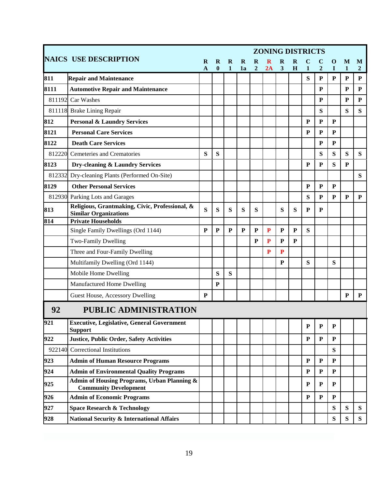|        |                                                                                        |              | <b>ZONING DISTRICTS</b> |              |             |                |              |              |             |              |                             |                |                |                           |
|--------|----------------------------------------------------------------------------------------|--------------|-------------------------|--------------|-------------|----------------|--------------|--------------|-------------|--------------|-----------------------------|----------------|----------------|---------------------------|
|        | <b>NAICS USE DESCRIPTION</b>                                                           | R            | R                       | $\mathbf R$  | $\mathbf R$ | $\bf{R}$       | R            | $\bf{R}$     | R           |              | C                           | O              | M              | M                         |
| 811    | <b>Repair and Maintenance</b>                                                          | $\mathbf{A}$ | $\boldsymbol{0}$        | $\mathbf{1}$ | 1a          | $\overline{2}$ | 2A           | 3            | H           | 1<br>S       | $\overline{2}$<br>${\bf P}$ | T<br>${\bf P}$ | 1<br>${\bf P}$ | $\mathbf{2}$<br>${\bf P}$ |
| 8111   | <b>Automotive Repair and Maintenance</b>                                               |              |                         |              |             |                |              |              |             |              | P                           |                | P              | ${\bf P}$                 |
| 811192 | Car Washes                                                                             |              |                         |              |             |                |              |              |             |              | $\mathbf{P}$                |                | P              | P                         |
|        | 811118 Brake Lining Repair                                                             |              |                         |              |             |                |              |              |             |              | S                           |                | S              | S                         |
| 812    | <b>Personal &amp; Laundry Services</b>                                                 |              |                         |              |             |                |              |              |             | ${\bf P}$    | ${\bf P}$                   | P              |                |                           |
| 8121   | <b>Personal Care Services</b>                                                          |              |                         |              |             |                |              |              |             | P            | $\mathbf{P}$                | P              |                |                           |
| 8122   | <b>Death Care Services</b>                                                             |              |                         |              |             |                |              |              |             |              | $\mathbf{P}$                | $\mathbf{P}$   |                |                           |
| 812220 | Cemeteries and Crematories                                                             | S            | S                       |              |             |                |              |              |             |              | S                           | S              | S              | S                         |
| 8123   | Dry-cleaning & Laundry Services                                                        |              |                         |              |             |                |              |              |             | P            | $\mathbf{P}$                | S              | P              |                           |
| 812332 | Dry-cleaning Plants (Performed On-Site)                                                |              |                         |              |             |                |              |              |             |              |                             |                |                | S                         |
| 8129   | <b>Other Personal Services</b>                                                         |              |                         |              |             |                |              |              |             | ${\bf P}$    | ${\bf P}$                   | ${\bf P}$      |                |                           |
|        | 812930 Parking Lots and Garages                                                        |              |                         |              |             |                |              |              |             | S            | $\mathbf{P}$                | P              | ${\bf P}$      | ${\bf P}$                 |
| 813    | Religious, Grantmaking, Civic, Professional, &<br><b>Similar Organizations</b>         | S            | S                       | S            | S           | S              |              | S            | S           | P            | P                           |                |                |                           |
| 814    | <b>Private Households</b>                                                              |              |                         |              |             |                |              |              |             |              |                             |                |                |                           |
|        | Single Family Dwellings (Ord 1144)                                                     | P            | P                       | P            | P           | P              | ${\bf P}$    | P            | $\mathbf P$ | S            |                             |                |                |                           |
|        | Two-Family Dwelling                                                                    |              |                         |              |             | ${\bf P}$      | $\mathbf{P}$ | ${\bf P}$    | ${\bf P}$   |              |                             |                |                |                           |
|        | Three and Four-Family Dwelling                                                         |              |                         |              |             |                | P            | $\mathbf{P}$ |             |              |                             |                |                |                           |
|        | Multifamily Dwelling (Ord 1144)                                                        |              |                         |              |             |                |              | P            |             | S            |                             | S              |                |                           |
|        | Mobile Home Dwelling                                                                   |              | S                       | S            |             |                |              |              |             |              |                             |                |                |                           |
|        | Manufactured Home Dwelling                                                             |              | P                       |              |             |                |              |              |             |              |                             |                |                |                           |
|        | Guest House, Accessory Dwelling                                                        | P            |                         |              |             |                |              |              |             |              |                             |                | P              | P                         |
| 92     | <b>PUBLIC ADMINISTRATION</b>                                                           |              |                         |              |             |                |              |              |             |              |                             |                |                |                           |
| 921    | <b>Executive, Legislative, General Government</b><br><b>Support</b>                    |              |                         |              |             |                |              |              |             | ${\bf P}$    | ${\bf P}$                   | P              |                |                           |
| 922    | <b>Justice, Public Order, Safety Activities</b>                                        |              |                         |              |             |                |              |              |             | P            | $\mathbf{P}$                | P              |                |                           |
| 922140 | Correctional Institutions                                                              |              |                         |              |             |                |              |              |             |              |                             | S              |                |                           |
| 923    | <b>Admin of Human Resource Programs</b>                                                |              |                         |              |             |                |              |              |             | $\mathbf{P}$ | $\mathbf{P}$                | $\mathbf{P}$   |                |                           |
| 924    | <b>Admin of Environmental Quality Programs</b>                                         |              |                         |              |             |                |              |              |             | $\mathbf{P}$ | ${\bf P}$                   | $\mathbf{P}$   |                |                           |
| 925    | <b>Admin of Housing Programs, Urban Planning &amp;</b><br><b>Community Development</b> |              |                         |              |             |                |              |              |             | P            | $\mathbf{P}$                | P              |                |                           |
| 926    | <b>Admin of Economic Programs</b>                                                      |              |                         |              |             |                |              |              |             | P            | ${\bf P}$                   | P              |                |                           |
| 927    | <b>Space Research &amp; Technology</b>                                                 |              |                         |              |             |                |              |              |             |              |                             | S              | S              | S                         |
| 928    | <b>National Security &amp; International Affairs</b>                                   |              |                         |              |             |                |              |              |             |              |                             | S              | S              | ${\bf S}$                 |